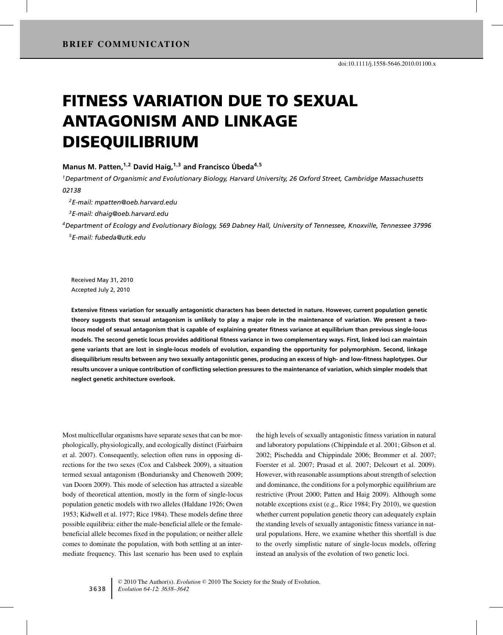# FITNESS VARIATION DUE TO SEXUAL ANTAGONISM AND LINKAGE DISEQUILIBRIUM

#### **Manus M. Patten,1,<sup>2</sup> David Haig,1,<sup>3</sup> and Francisco Ubeda ´ <sup>4</sup>,<sup>5</sup>**

*1Department of Organismic and Evolutionary Biology, Harvard University, 26 Oxford Street, Cambridge Massachusetts 02138*

*2E-mail: mpatten@oeb.harvard.edu*

*3E-mail: dhaig@oeb.harvard.edu*

*4Department of Ecology and Evolutionary Biology, 569 Dabney Hall, University of Tennessee, Knoxville, Tennessee 37996 5E-mail: fubeda@utk.edu*

Received May 31, 2010 Accepted July 2, 2010

**Extensive fitness variation for sexually antagonistic characters has been detected in nature. However, current population genetic theory suggests that sexual antagonism is unlikely to play a major role in the maintenance of variation. We present a twolocus model of sexual antagonism that is capable of explaining greater fitness variance at equilibrium than previous single-locus models. The second genetic locus provides additional fitness variance in two complementary ways. First, linked loci can maintain gene variants that are lost in single-locus models of evolution, expanding the opportunity for polymorphism. Second, linkage disequilibrium results between any two sexually antagonistic genes, producing an excess of high- and low-fitness haplotypes. Our results uncover a unique contribution of conflicting selection pressures to the maintenance of variation, which simpler models that neglect genetic architecture overlook.**

Most multicellular organisms have separate sexes that can be morphologically, physiologically, and ecologically distinct (Fairbairn et al. 2007). Consequently, selection often runs in opposing directions for the two sexes (Cox and Calsbeek 2009), a situation termed sexual antagonism (Bonduriansky and Chenoweth 2009; van Doorn 2009). This mode of selection has attracted a sizeable body of theoretical attention, mostly in the form of single-locus population genetic models with two alleles (Haldane 1926; Owen 1953; Kidwell et al. 1977; Rice 1984). These models define three possible equilibria: either the male-beneficial allele or the femalebeneficial allele becomes fixed in the population; or neither allele comes to dominate the population, with both settling at an intermediate frequency. This last scenario has been used to explain the high levels of sexually antagonistic fitness variation in natural and laboratory populations (Chippindale et al. 2001; Gibson et al. 2002; Pischedda and Chippindale 2006; Brommer et al. 2007; Foerster et al. 2007; Prasad et al. 2007; Delcourt et al. 2009). However, with reasonable assumptions about strength of selection and dominance, the conditions for a polymorphic equilibrium are restrictive (Prout 2000; Patten and Haig 2009). Although some notable exceptions exist (e.g., Rice 1984; Fry 2010), we question whether current population genetic theory can adequately explain the standing levels of sexually antagonistic fitness variance in natural populations. Here, we examine whether this shortfall is due to the overly simplistic nature of single-locus models, offering instead an analysis of the evolution of two genetic loci.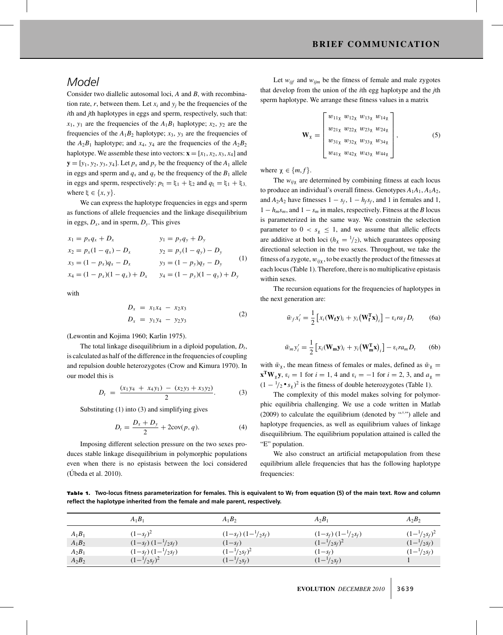## *Model*

Consider two diallelic autosomal loci, *A* and *B*, with recombination rate,  $r$ , between them. Let  $x_i$  and  $y_j$  be the frequencies of the *i*th and *j*th haplotypes in eggs and sperm, respectively, such that:  $x_1, y_1$  are the frequencies of the  $A_1B_1$  haplotype;  $x_2, y_2$  are the frequencies of the  $A_1B_2$  haplotype;  $x_3$ ,  $y_3$  are the frequencies of the  $A_2B_1$  haplotype; and  $x_4$ ,  $y_4$  are the frequencies of the  $A_2B_2$ haplotype. We assemble these into vectors:  $\mathbf{x} = [x_1, x_2, x_3, x_4]$  and  **Let**  $p<sub>x</sub>$  **and**  $p<sub>y</sub>$  **be the frequency of the**  $A<sub>1</sub>$  **allele** in eggs and sperm and  $q_x$  and  $q_y$  be the frequency of the  $B_1$  allele in eggs and sperm, respectively:  $p_{\xi} = \xi_1 + \xi_2$  and  $q_{\xi} = \xi_1 + \xi_3$ , where  $\xi \in \{x, y\}$ .

We can express the haplotype frequencies in eggs and sperm as functions of allele frequencies and the linkage disequilibrium in eggs,  $D_x$ , and in sperm,  $D_y$ . This gives

$$
x_1 = p_x q_x + D_x
$$
  
\n
$$
x_2 = p_x (1 - q_x) - D_x
$$
  
\n
$$
x_3 = (1 - p_x) q_x - D_x
$$
  
\n
$$
x_4 = (1 - p_x) (1 - q_x) + D_x
$$
  
\n
$$
x_5 = (1 - p_x) p_x - D_x
$$
  
\n
$$
x_6 = (1 - p_y) q_y - D_y
$$
  
\n
$$
x_7 = (1 - p_y) (1 - q_y) + D_y
$$
  
\n
$$
x_8 = (1 - p_y) (1 - q_y) + D_y
$$

with

$$
D_x = x_1 x_4 - x_2 x_3
$$
  
\n
$$
D_x = y_1 y_4 - y_2 y_3
$$
\n(2)

(Lewontin and Kojima 1960; Karlin 1975).

The total linkage disequilibrium in a diploid population,  $D_t$ , is calculated as half of the difference in the frequencies of coupling and repulsion double heterozygotes (Crow and Kimura 1970). In our model this is

$$
D_t = \frac{(x_1y_4 + x_4y_1) - (x_2y_3 + x_3y_2)}{2}.
$$
 (3)

Substituting (1) into (3) and simplifying gives

$$
D_t = \frac{D_x + D_y}{2} + 2\text{cov}(p, q). \tag{4}
$$

Imposing different selection pressure on the two sexes produces stable linkage disequilibrium in polymorphic populations even when there is no epistasis between the loci considered  $(Úbeda et al. 2010).$ 

Let  $w_{ijf}$  and  $w_{ijm}$  be the fitness of female and male zygotes that develop from the union of the *i*th egg haplotype and the *j*th sperm haplotype. We arrange these fitness values in a matrix

$$
\mathbf{W}_{\chi} = \begin{bmatrix} w_{11\chi} & w_{12\chi} & w_{13\chi} & w_{14\chi} \\ w_{21\chi} & w_{22\chi} & w_{23\chi} & w_{24\chi} \\ w_{31\chi} & w_{32\chi} & w_{33\chi} & w_{34\chi} \\ w_{41\chi} & w_{42\chi} & w_{43\chi} & w_{44\chi} \end{bmatrix}, \tag{5}
$$

where  $\chi \in \{m, f\}$ .

The  $w_{ij\chi}$  are determined by combining fitness at each locus to produce an individual's overall fitness. Genotypes *A*1*A*1, *A*1*A*2, and  $A_2A_2$  have fitnesses  $1 - s_f$ ,  $1 - h_f s_f$ , and 1 in females and 1,  $1 - h_m s_m$ , and  $1 - s_m$  in males, respectively. Fitness at the *B* locus is parameterized in the same way. We constrain the selection parameter to  $0 < s_{\chi} \leq 1$ , and we assume that allelic effects are additive at both loci  $(h<sub>x</sub> = <sup>1</sup>/<sub>2</sub>)$ , which guarantees opposing directional selection in the two sexes. Throughout, we take the fitness of a zygote, w*ij*χ, to be exactly the product of the fitnesses at each locus (Table 1). Therefore, there is no multiplicative epistasis within sexes.

The recursion equations for the frequencies of haplotypes in the next generation are:

$$
\bar{w}_f x_i' = \frac{1}{2} \left[ x_i (\mathbf{W_f y})_i + y_i (\mathbf{W_f^T x})_i \right] - \varepsilon_i r a_f D_t \tag{6a}
$$

$$
\bar{w}_m y_i' = \frac{1}{2} \left[ x_i (\mathbf{W_m y})_i + y_i (\mathbf{W_m^T x})_i \right] - \varepsilon_i r a_m D_t \qquad (6b)
$$

with  $\bar{w}_{\gamma}$ , the mean fitness of females or males, defined as  $\bar{w}_{\gamma}$  = **x<sup><b>T</sup>W**<sub> $\chi$ </sub>**y**,  $\varepsilon_i = 1$  for  $i = 1, 4$  and  $\varepsilon_i = -1$  for  $i = 2, 3$ , and  $a_{\chi} =$ </sup>  $(1 - \frac{1}{2} \cdot s_{\chi})^2$  is the fitness of double heterozygotes (Table 1).

The complexity of this model makes solving for polymorphic equilibria challenging. We use a code written in Matlab (2009) to calculate the equilibrium (denoted by "∧") allele and haplotype frequencies, as well as equilibrium values of linkage disequilibrium. The equilibrium population attained is called the "E" population.

We also construct an artificial metapopulation from these equilibrium allele frequencies that has the following haplotype frequencies:

Table 1. Two-locus fitness parameterization for females. This is equivalent to W<sub>f</sub> from equation (5) of the main text. Row and column **reflect the haplotype inherited from the female and male parent, respectively.**

|          | $A_1B_1$                       | $A_1B_2$                    | $A_2B_1$                | $A_2B_2$                  |
|----------|--------------------------------|-----------------------------|-------------------------|---------------------------|
| $A_1B_1$ | $(1-s_f)^2$                    | $(1-s_f)(1-\frac{1}{2}s_f)$ | $(1-s_f)(1-1/2s_f)$     | $(1 - \frac{1}{2} s_f)^2$ |
| $A_1B_2$ | $(1-s_f)(1-\frac{1}{2}s_f)$    | $(1 - s_f)$                 | $(1-\frac{1}{2}s_f)^2$  | $(1 - \frac{1}{2} s_f)$   |
| $A_2B_1$ | $(1-s_f)$ $(1-\frac{1}{2}s_f)$ | $(1 - \frac{1}{2} s_f)^2$   | $(1 - s_f)$             | $(1 - \frac{1}{2} s_f)$   |
| $A_2B_2$ | $(1 - \frac{1}{2} s_f)^2$      | $(1 - \frac{1}{2} s_f)$     | $(1 - \frac{1}{2} s_f)$ |                           |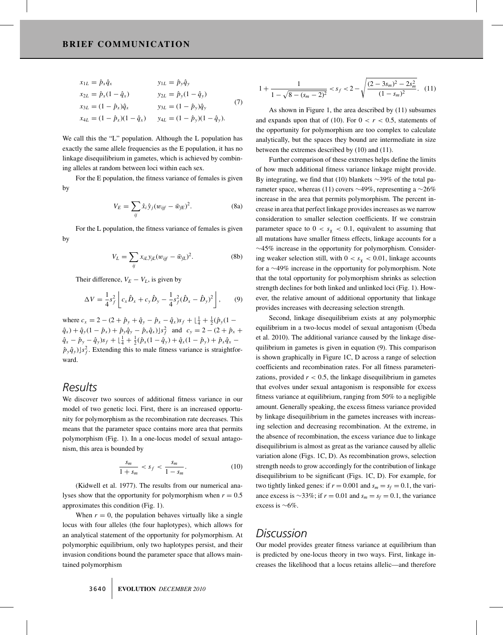$$
x_{1L} = \hat{p}_x \hat{q}_x \qquad y_{1L} = \hat{p}_y \hat{q}_y x_{2L} = \hat{p}_x (1 - \hat{q}_x) \qquad y_{2L} = \hat{p}_y (1 - \hat{q}_y) x_{3L} = (1 - \hat{p}_x) \hat{q}_x \qquad y_{3L} = (1 - \hat{p}_y) \hat{q}_y x_{4L} = (1 - \hat{p}_x)(1 - \hat{q}_x) \qquad y_{4L} = (1 - \hat{p}_y)(1 - \hat{q}_y).
$$
 (7)

We call this the "L" population. Although the L population has exactly the same allele frequencies as the E population, it has no linkage disequilibrium in gametes, which is achieved by combining alleles at random between loci within each sex.

For the E population, the fitness variance of females is given by

$$
V_E = \sum_{ij} \hat{x}_i \hat{y}_j (w_{ijf} - \bar{w}_{jE})^2.
$$
 (8a)

For the L population, the fitness variance of females is given by

$$
V_L = \sum_{ij} x_{iL} y_{jL} (w_{ijf} - \bar{w}_{fL})^2.
$$
 (8b)

Their difference,  $V_E - V_L$ , is given by

$$
\Delta V = \frac{1}{4}s_f^2 \left[ c_x \hat{D}_x + c_y \hat{D}_y - \frac{1}{4}s_f^2 (\hat{D}_x - \hat{D}_y)^2 \right],
$$
 (9)

where  $c_x = 2 - (2 + \hat{p}_y + \hat{q}_y - \hat{p}_x - \hat{q}_x)s_f + \lfloor \frac{1}{4} + \frac{1}{2}(\hat{p}_y(1 \hat{q}_x$  ) +  $\hat{q}_y$ (1 –  $\hat{p}_x$ ) +  $\hat{p}_y \hat{q}_y - \hat{p}_x \hat{q}_x$ )*s*<sup>2</sup><sub>*f*</sub> and *c<sub>y</sub>* = 2 – (2 +  $\hat{p}_x$  +  $\hat{q}_x - \hat{p}_y - \hat{q}_y s_f + \left[ \frac{1}{4} + \frac{1}{2} (\hat{p}_x (1 - \hat{q}_y) + \hat{q}_x (1 - \hat{p}_y) + \hat{p}_x \hat{q}_x - \hat{q}_y s_f \right]$  $(\hat{p}_y \hat{q}_y)$ *s*<sup>2</sup><sub>*f*</sub>. Extending this to male fitness variance is straightforward.

## *Results*

We discover two sources of additional fitness variance in our model of two genetic loci. First, there is an increased opportunity for polymorphism as the recombination rate decreases. This means that the parameter space contains more area that permits polymorphism (Fig. 1). In a one-locus model of sexual antagonism, this area is bounded by

$$
\frac{s_m}{1+s_m} < s_f < \frac{s_m}{1-s_m}.\tag{10}
$$

(Kidwell et al. 1977). The results from our numerical analyses show that the opportunity for polymorphism when  $r = 0.5$ approximates this condition (Fig. 1).

When  $r = 0$ , the population behaves virtually like a single locus with four alleles (the four haplotypes), which allows for an analytical statement of the opportunity for polymorphism. At polymorphic equilibrium, only two haplotypes persist, and their invasion conditions bound the parameter space that allows maintained polymorphism

$$
1 + \frac{1}{1 - \sqrt{8 - (s_m - 2)^2}} < s_f < 2 - \sqrt{\frac{(2 - 3s_m)^2 - 2s_m^2}{(1 - s_m)^2}}. \tag{11}
$$

As shown in Figure 1, the area described by (11) subsumes and expands upon that of (10). For  $0 < r < 0.5$ , statements of the opportunity for polymorphism are too complex to calculate analytically, but the spaces they bound are intermediate in size between the extremes described by (10) and (11).

Further comparison of these extremes helps define the limits of how much additional fitness variance linkage might provide. By integrating, we find that (10) blankets ∼39% of the total parameter space, whereas (11) covers  $\sim$ 49%, representing a  $\sim$ 26% increase in the area that permits polymorphism. The percent increase in area that perfect linkage provides increases as we narrow consideration to smaller selection coefficients. If we constrain parameter space to  $0 < s_{\chi} < 0.1$ , equivalent to assuming that all mutations have smaller fitness effects, linkage accounts for a ∼45% increase in the opportunity for polymorphism. Considering weaker selection still, with  $0 < s_{\chi} < 0.01$ , linkage accounts for a ∼49% increase in the opportunity for polymorphism. Note that the total opportunity for polymorphism shrinks as selection strength declines for both linked and unlinked loci (Fig. 1). However, the relative amount of additional opportunity that linkage provides increases with decreasing selection strength.

Second, linkage disequilibrium exists at any polymorphic equilibrium in a two-locus model of sexual antagonism (Ubeda et al. 2010). The additional variance caused by the linkage disequilibrium in gametes is given in equation (9). This comparison is shown graphically in Figure 1C, D across a range of selection coefficients and recombination rates. For all fitness parameterizations, provided  $r < 0.5$ , the linkage disequilibrium in gametes that evolves under sexual antagonism is responsible for excess fitness variance at equilibrium, ranging from 50% to a negligible amount. Generally speaking, the excess fitness variance provided by linkage disequilibrium in the gametes increases with increasing selection and decreasing recombination. At the extreme, in the absence of recombination, the excess variance due to linkage disequilibrium is almost as great as the variance caused by allelic variation alone (Figs. 1C, D). As recombination grows, selection strength needs to grow accordingly for the contribution of linkage disequilibrium to be significant (Figs. 1C, D). For example, for two tightly linked genes: if  $r = 0.001$  and  $s_m = s_f = 0.1$ , the variance excess is ~33%; if  $r = 0.01$  and  $s_m = s_f = 0.1$ , the variance excess is ∼6%.

### *Discussion*

Our model provides greater fitness variance at equilibrium than is predicted by one-locus theory in two ways. First, linkage increases the likelihood that a locus retains allelic—and therefore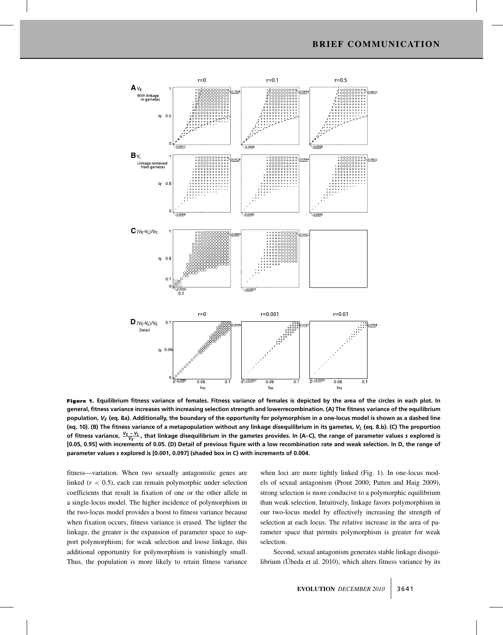

Figure 1. **Equilibrium fitness variance of females. Fitness variance of females is depicted by the area of the circles in each plot. In general, fitness variance increases with increasing selection strength and lowerrecombination. (A) The fitness variance of the equilibrium** population, V<sub>E</sub> (eq. 8a). Additionally, the boundary of the opportunity for polymorphism in a one-locus model is shown as a dashed line (eq. 10). (B) The fitness variance of a metapopulation without any linkage disequilibrium in its gametes, V<sub>L</sub> (eq. 8.b). (C) The proportion of fitness variance,  $\frac{V_E-V_L}{V_E}$ , that linkage disequilibrium in the gametes provides. In (A−C), the range of parameter values *s* explored is **[0.05, 0.95] with increments of 0.05. (D) Detail of previous figure with a low recombination rate and weak selection. In D, the range of parameter values** *s* **explored is [0.001, 0.097] (shaded box in C) with increments of 0.004.**

fitness—variation. When two sexually antagonistic genes are linked (*r* < 0.5), each can remain polymorphic under selection coefficients that result in fixation of one or the other allele in a single-locus model. The higher incidence of polymorphism in the two-locus model provides a boost to fitness variance because when fixation occurs, fitness variance is erased. The tighter the linkage, the greater is the expansion of parameter space to support polymorphism; for weak selection and loose linkage, this additional opportunity for polymorphism is vanishingly small. Thus, the population is more likely to retain fitness variance when loci are more tightly linked (Fig. 1). In one-locus models of sexual antagonism (Prout 2000; Patten and Haig 2009), strong selection is more conducive to a polymorphic equilibrium than weak selection. Intuitively, linkage favors polymorphism in our two-locus model by effectively increasing the strength of selection at each locus. The relative increase in the area of parameter space that permits polymorphism is greater for weak selection.

Second, sexual antagonism generates stable linkage disequilibrium (Úbeda et al. 2010), which alters fitness variance by its